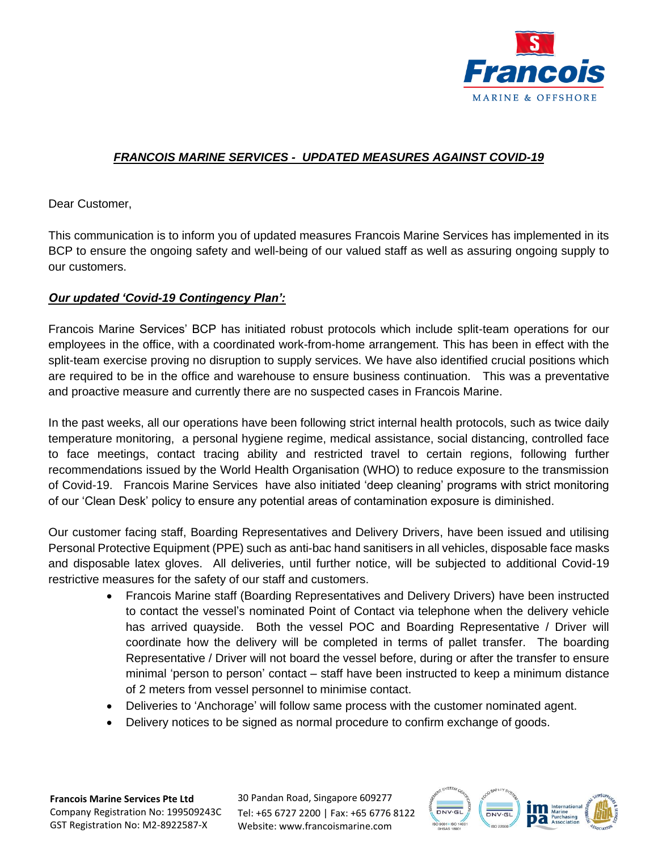

## *FRANCOIS MARINE SERVICES - UPDATED MEASURES AGAINST COVID-19*

Dear Customer,

This communication is to inform you of updated measures Francois Marine Services has implemented in its BCP to ensure the ongoing safety and well-being of our valued staff as well as assuring ongoing supply to our customers.

## *Our updated 'Covid-19 Contingency Plan':*

Francois Marine Services' BCP has initiated robust protocols which include split-team operations for our employees in the office, with a coordinated work-from-home arrangement. This has been in effect with the split-team exercise proving no disruption to supply services. We have also identified crucial positions which are required to be in the office and warehouse to ensure business continuation. This was a preventative and proactive measure and currently there are no suspected cases in Francois Marine.

In the past weeks, all our operations have been following strict internal health protocols, such as twice daily temperature monitoring, a personal hygiene regime, medical assistance, social distancing, controlled face to face meetings, contact tracing ability and restricted travel to certain regions, following further recommendations issued by the World Health Organisation (WHO) to reduce exposure to the transmission of Covid-19. Francois Marine Services have also initiated 'deep cleaning' programs with strict monitoring of our 'Clean Desk' policy to ensure any potential areas of contamination exposure is diminished.

Our customer facing staff, Boarding Representatives and Delivery Drivers, have been issued and utilising Personal Protective Equipment (PPE) such as anti-bac hand sanitisers in all vehicles, disposable face masks and disposable latex gloves. All deliveries, until further notice, will be subjected to additional Covid-19 restrictive measures for the safety of our staff and customers.

- Francois Marine staff (Boarding Representatives and Delivery Drivers) have been instructed to contact the vessel's nominated Point of Contact via telephone when the delivery vehicle has arrived quayside. Both the vessel POC and Boarding Representative / Driver will coordinate how the delivery will be completed in terms of pallet transfer. The boarding Representative / Driver will not board the vessel before, during or after the transfer to ensure minimal 'person to person' contact – staff have been instructed to keep a minimum distance of 2 meters from vessel personnel to minimise contact.
- Deliveries to 'Anchorage' will follow same process with the customer nominated agent.
- Delivery notices to be signed as normal procedure to confirm exchange of goods.

**Francois Marine Services Pte Ltd** Company Registration No: 199509243C GST Registration No: M2-8922587-X

30 Pandan Road, Singapore 609277 Tel: +65 6727 2200 | Fax: +65 6776 8122 Website: www.francoismarine.com